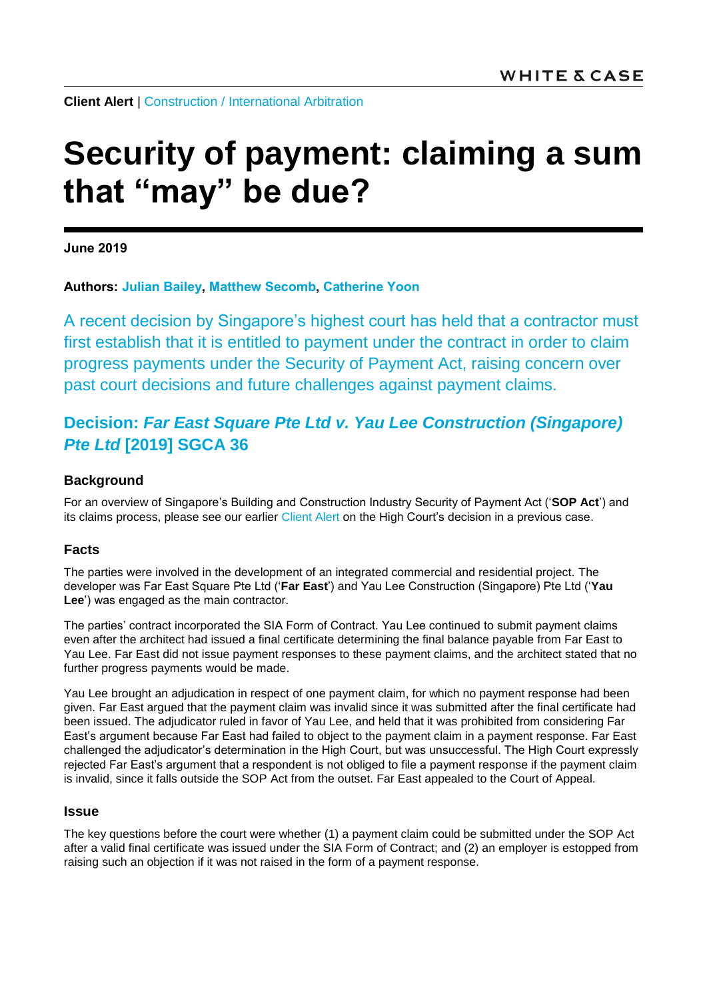**Client Alert** | [Construction](https://www.whitecase.com/law/practices/construction) / [International Arbitration](https://www.whitecase.com/law/practices/international-arbitration)

# **Security of payment: claiming a sum that "may" be due?**

**June 2019** 

**Authors: [Julian Bailey,](https://www.whitecase.com/people/julian-bailey) [Matthew Secomb,](https://www.whitecase.com/people/matthew-secomb) [Catherine Yoon](mailto:catherine.yoon@whitecase.com)**

A recent decision by Singapore's highest court has held that a contractor must first establish that it is entitled to payment under the contract in order to claim progress payments under the Security of Payment Act, raising concern over past court decisions and future challenges against payment claims.

# **Decision:** *Far East Square Pte Ltd v. Yau Lee Construction (Singapore) Pte Ltd* **[2019] SGCA 36**

#### **Background**

For an overview of Singapore's Building and Construction Industry Security of Payment Act ('**SOP Act**') and its claims process, please see our earlier [Client Alert](https://www.whitecase.com/publications/alert/no-cross-contract-set-under-security-payment-act) on the High Court's decision in a previous case.

#### **Facts**

The parties were involved in the development of an integrated commercial and residential project. The developer was Far East Square Pte Ltd ('**Far East**') and Yau Lee Construction (Singapore) Pte Ltd ('**Yau Lee**') was engaged as the main contractor.

The parties' contract incorporated the SIA Form of Contract. Yau Lee continued to submit payment claims even after the architect had issued a final certificate determining the final balance payable from Far East to Yau Lee. Far East did not issue payment responses to these payment claims, and the architect stated that no further progress payments would be made.

Yau Lee brought an adjudication in respect of one payment claim, for which no payment response had been given. Far East argued that the payment claim was invalid since it was submitted after the final certificate had been issued. The adjudicator ruled in favor of Yau Lee, and held that it was prohibited from considering Far East's argument because Far East had failed to object to the payment claim in a payment response. Far East challenged the adjudicator's determination in the High Court, but was unsuccessful. The High Court expressly rejected Far East's argument that a respondent is not obliged to file a payment response if the payment claim is invalid, since it falls outside the SOP Act from the outset. Far East appealed to the Court of Appeal.

#### **Issue**

The key questions before the court were whether (1) a payment claim could be submitted under the SOP Act after a valid final certificate was issued under the SIA Form of Contract; and (2) an employer is estopped from raising such an objection if it was not raised in the form of a payment response.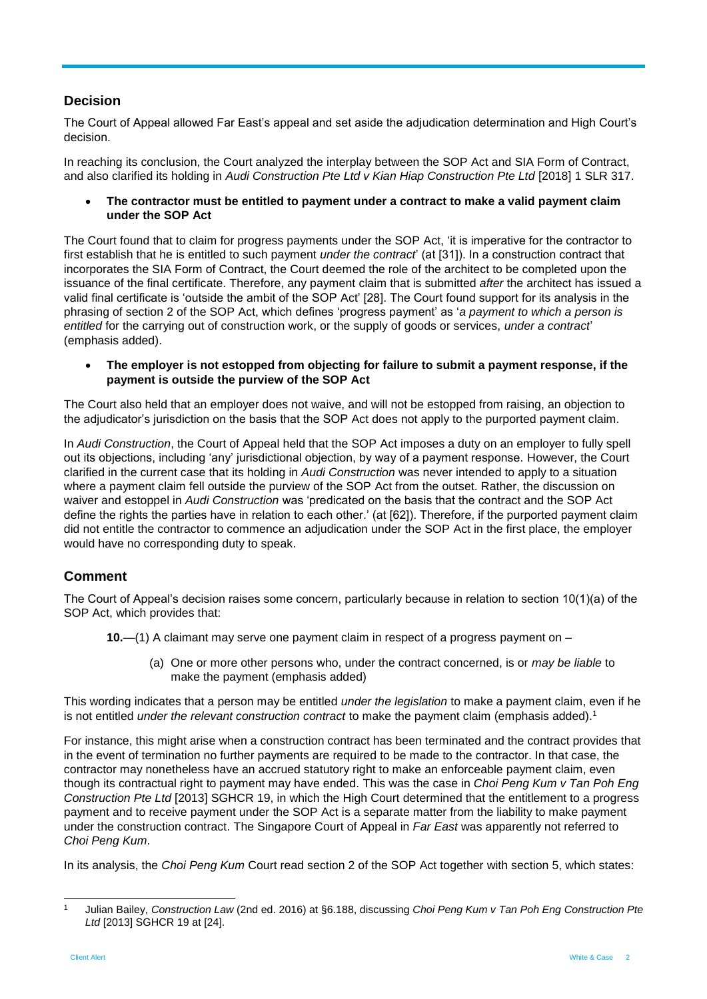## **Decision**

The Court of Appeal allowed Far East's appeal and set aside the adjudication determination and High Court's decision.

In reaching its conclusion, the Court analyzed the interplay between the SOP Act and SIA Form of Contract, and also clarified its holding in *Audi Construction Pte Ltd v Kian Hiap Construction Pte Ltd* [2018] 1 SLR 317.

 **The contractor must be entitled to payment under a contract to make a valid payment claim under the SOP Act**

The Court found that to claim for progress payments under the SOP Act, 'it is imperative for the contractor to first establish that he is entitled to such payment *under the contract*' (at [31]). In a construction contract that incorporates the SIA Form of Contract, the Court deemed the role of the architect to be completed upon the issuance of the final certificate. Therefore, any payment claim that is submitted *after* the architect has issued a valid final certificate is 'outside the ambit of the SOP Act' [28]. The Court found support for its analysis in the phrasing of section 2 of the SOP Act, which defines 'progress payment' as '*a payment to which a person is entitled* for the carrying out of construction work, or the supply of goods or services, *under a contract*' (emphasis added).

 **The employer is not estopped from objecting for failure to submit a payment response, if the payment is outside the purview of the SOP Act**

The Court also held that an employer does not waive, and will not be estopped from raising, an objection to the adjudicator's jurisdiction on the basis that the SOP Act does not apply to the purported payment claim.

In *Audi Construction*, the Court of Appeal held that the SOP Act imposes a duty on an employer to fully spell out its objections, including 'any' jurisdictional objection, by way of a payment response. However, the Court clarified in the current case that its holding in *Audi Construction* was never intended to apply to a situation where a payment claim fell outside the purview of the SOP Act from the outset. Rather, the discussion on waiver and estoppel in *Audi Construction* was 'predicated on the basis that the contract and the SOP Act define the rights the parties have in relation to each other.' (at [62]). Therefore, if the purported payment claim did not entitle the contractor to commence an adjudication under the SOP Act in the first place, the employer would have no corresponding duty to speak.

### **Comment**

The Court of Appeal's decision raises some concern, particularly because in relation to section 10(1)(a) of the SOP Act, which provides that:

**10.**—(1) A claimant may serve one payment claim in respect of a progress payment on –

(a) One or more other persons who, under the contract concerned, is or *may be liable* to make the payment (emphasis added)

This wording indicates that a person may be entitled *under the legislation* to make a payment claim, even if he is not entitled *under the relevant construction contract* to make the payment claim (emphasis added). 1

For instance, this might arise when a construction contract has been terminated and the contract provides that in the event of termination no further payments are required to be made to the contractor. In that case, the contractor may nonetheless have an accrued statutory right to make an enforceable payment claim, even though its contractual right to payment may have ended. This was the case in *Choi Peng Kum v Tan Poh Eng Construction Pte Ltd* [2013] SGHCR 19, in which the High Court determined that the entitlement to a progress payment and to receive payment under the SOP Act is a separate matter from the liability to make payment under the construction contract. The Singapore Court of Appeal in *Far East* was apparently not referred to *Choi Peng Kum*.

In its analysis, the *Choi Peng Kum* Court read section 2 of the SOP Act together with section 5, which states:

l <sup>1</sup> Julian Bailey, *Construction Law* (2nd ed. 2016) at §6.188, discussing *Choi Peng Kum v Tan Poh Eng Construction Pte Ltd* [2013] SGHCR 19 at [24].